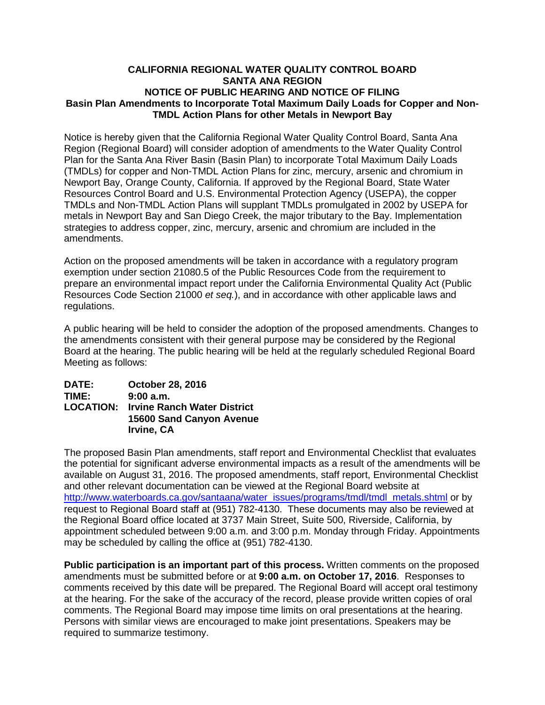## **CALIFORNIA REGIONAL WATER QUALITY CONTROL BOARD SANTA ANA REGION NOTICE OF PUBLIC HEARING AND NOTICE OF FILING Basin Plan Amendments to Incorporate Total Maximum Daily Loads for Copper and Non-TMDL Action Plans for other Metals in Newport Bay**

Notice is hereby given that the California Regional Water Quality Control Board, Santa Ana Region (Regional Board) will consider adoption of amendments to the Water Quality Control Plan for the Santa Ana River Basin (Basin Plan) to incorporate Total Maximum Daily Loads (TMDLs) for copper and Non-TMDL Action Plans for zinc, mercury, arsenic and chromium in Newport Bay, Orange County, California. If approved by the Regional Board, State Water Resources Control Board and U.S. Environmental Protection Agency (USEPA), the copper TMDLs and Non-TMDL Action Plans will supplant TMDLs promulgated in 2002 by USEPA for metals in Newport Bay and San Diego Creek, the major tributary to the Bay. Implementation strategies to address copper, zinc, mercury, arsenic and chromium are included in the amendments.

Action on the proposed amendments will be taken in accordance with a regulatory program exemption under section 21080.5 of the Public Resources Code from the requirement to prepare an environmental impact report under the California Environmental Quality Act (Public Resources Code Section 21000 *et seq.*), and in accordance with other applicable laws and regulations.

A public hearing will be held to consider the adoption of the proposed amendments. Changes to the amendments consistent with their general purpose may be considered by the Regional Board at the hearing. The public hearing will be held at the regularly scheduled Regional Board Meeting as follows:

| <b>DATE:</b> | October 28, 2016                             |
|--------------|----------------------------------------------|
| TIME:        | 9:00a.m.                                     |
|              | <b>LOCATION: Irvine Ranch Water District</b> |
|              | <b>15600 Sand Canyon Avenue</b>              |
|              | Irvine, CA                                   |

The proposed Basin Plan amendments, staff report and Environmental Checklist that evaluates the potential for significant adverse environmental impacts as a result of the amendments will be available on August 31, 2016. The proposed amendments, staff report, Environmental Checklist and other relevant documentation can be viewed at the Regional Board website at [http://www.waterboards.ca.gov/santaana/water\\_issues/programs/tmdl/tmdl\\_metals.shtml](http://www.waterboards.ca.gov/santaana/water_issues/programs/tmdl/tmdl_metals.shtml) or by request to Regional Board staff at (951) 782-4130. These documents may also be reviewed at the Regional Board office located at 3737 Main Street, Suite 500, Riverside, California, by appointment scheduled between 9:00 a.m. and 3:00 p.m. Monday through Friday. Appointments may be scheduled by calling the office at (951) 782-4130.

**Public participation is an important part of this process.** Written comments on the proposed amendments must be submitted before or at **9:00 a.m. on October 17, 2016**. Responses to comments received by this date will be prepared. The Regional Board will accept oral testimony at the hearing. For the sake of the accuracy of the record, please provide written copies of oral comments. The Regional Board may impose time limits on oral presentations at the hearing. Persons with similar views are encouraged to make joint presentations. Speakers may be required to summarize testimony.